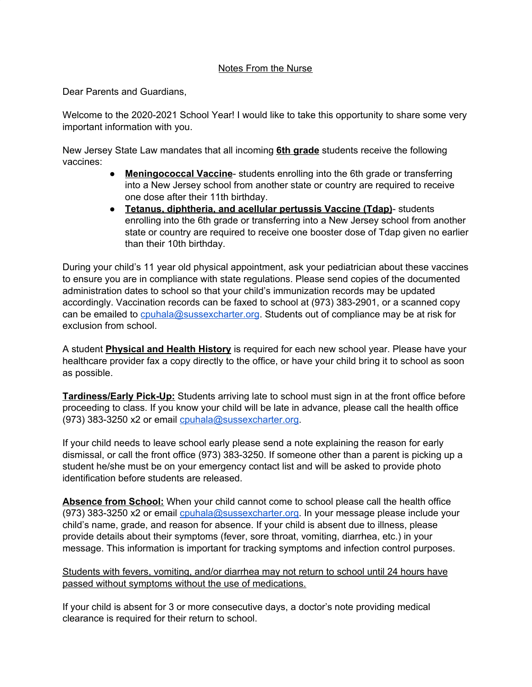## Notes From the Nurse

Dear Parents and Guardians,

Welcome to the 2020-2021 School Year! I would like to take this opportunity to share some very important information with you.

New Jersey State Law mandates that all incoming **6th grade** students receive the following vaccines:

- **Meningococcal Vaccine** students enrolling into the 6th grade or transferring into a New Jersey school from another state or country are required to receive one dose after their 11th birthday.
- **Tetanus, diphtheria, and acellular pertussis Vaccine (Tdap)** students enrolling into the 6th grade or transferring into a New Jersey school from another state or country are required to receive one booster dose of Tdap given no earlier than their 10th birthday.

During your child's 11 year old physical appointment, ask your pediatrician about these vaccines to ensure you are in compliance with state regulations. Please send copies of the documented administration dates to school so that your child's immunization records may be updated accordingly. Vaccination records can be faxed to school at (973) 383-2901, or a scanned copy can be emailed to [cpuhala@sussexcharter.org](mailto:cpuhala@sussexcharter.org). Students out of compliance may be at risk for exclusion from school.

A student **Physical and Health History** is required for each new school year. Please have your healthcare provider fax a copy directly to the office, or have your child bring it to school as soon as possible.

**Tardiness/Early Pick-Up:** Students arriving late to school must sign in at the front office before proceeding to class. If you know your child will be late in advance, please call the health office (973) 383-3250 x2 or email [cpuhala@sussexcharter.org](mailto:cpuhala@sussexcharter.org).

If your child needs to leave school early please send a note explaining the reason for early dismissal, or call the front office (973) 383-3250. If someone other than a parent is picking up a student he/she must be on your emergency contact list and will be asked to provide photo identification before students are released.

**Absence from School:** When your child cannot come to school please call the health office (973) 383-3250 x2 or email [cpuhala@sussexcharter.org](mailto:cpuhala@sussexcharter.org). In your message please include your child's name, grade, and reason for absence. If your child is absent due to illness, please provide details about their symptoms (fever, sore throat, vomiting, diarrhea, etc.) in your message. This information is important for tracking symptoms and infection control purposes.

Students with fevers, vomiting, and/or diarrhea may not return to school until 24 hours have passed without symptoms without the use of medications.

If your child is absent for 3 or more consecutive days, a doctor's note providing medical clearance is required for their return to school.